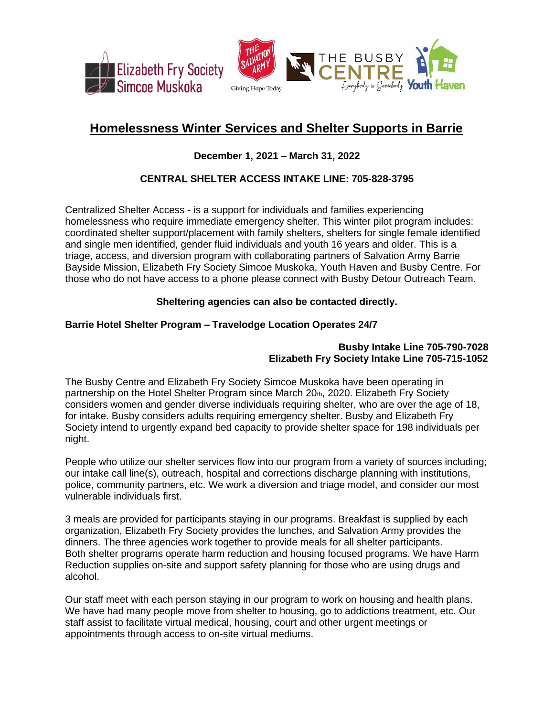

## **Homelessness Winter Services and Shelter Supports in Barrie**

## **December 1, 2021 – March 31, 2022**

## **CENTRAL SHELTER ACCESS INTAKE LINE: 705-828-3795**

Centralized Shelter Access - is a support for individuals and families experiencing homelessness who require immediate emergency shelter. This winter pilot program includes: coordinated shelter support/placement with family shelters, shelters for single female identified and single men identified, gender fluid individuals and youth 16 years and older. This is a triage, access, and diversion program with collaborating partners of Salvation Army Barrie Bayside Mission, Elizabeth Fry Society Simcoe Muskoka, Youth Haven and Busby Centre. For those who do not have access to a phone please connect with Busby Detour Outreach Team.

## **Sheltering agencies can also be contacted directly.**

## **Barrie Hotel Shelter Program – Travelodge Location Operates 24/7**

## **Busby Intake Line 705-790-7028 Elizabeth Fry Society Intake Line 705-715-1052**

The Busby Centre and Elizabeth Fry Society Simcoe Muskoka have been operating in partnership on the Hotel Shelter Program since March 20th, 2020. Elizabeth Fry Society considers women and gender diverse individuals requiring shelter, who are over the age of 18, for intake. Busby considers adults requiring emergency shelter. Busby and Elizabeth Fry Society intend to urgently expand bed capacity to provide shelter space for 198 individuals per night.

People who utilize our shelter services flow into our program from a variety of sources including; our intake call line(s), outreach, hospital and corrections discharge planning with institutions, police, community partners, etc. We work a diversion and triage model, and consider our most vulnerable individuals first.

3 meals are provided for participants staying in our programs. Breakfast is supplied by each organization, Elizabeth Fry Society provides the lunches, and Salvation Army provides the dinners. The three agencies work together to provide meals for all shelter participants. Both shelter programs operate harm reduction and housing focused programs. We have Harm Reduction supplies on-site and support safety planning for those who are using drugs and alcohol.

Our staff meet with each person staying in our program to work on housing and health plans. We have had many people move from shelter to housing, go to addictions treatment, etc. Our staff assist to facilitate virtual medical, housing, court and other urgent meetings or appointments through access to on-site virtual mediums.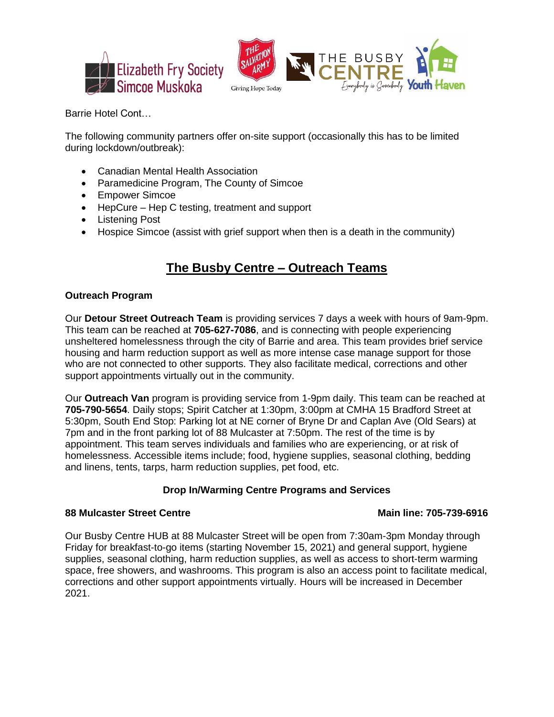



Barrie Hotel Cont…

The following community partners offer on-site support (occasionally this has to be limited during lockdown/outbreak):

- Canadian Mental Health Association
- Paramedicine Program, The County of Simcoe
- Empower Simcoe
- HepCure Hep C testing, treatment and support
- Listening Post
- Hospice Simcoe (assist with grief support when then is a death in the community)

# **The Busby Centre – Outreach Teams**

## **Outreach Program**

Our **Detour Street Outreach Team** is providing services 7 days a week with hours of 9am-9pm. This team can be reached at **705-627-7086**, and is connecting with people experiencing unsheltered homelessness through the city of Barrie and area. This team provides brief service housing and harm reduction support as well as more intense case manage support for those who are not connected to other supports. They also facilitate medical, corrections and other support appointments virtually out in the community.

Our **Outreach Van** program is providing service from 1-9pm daily. This team can be reached at **705-790-5654**. Daily stops; Spirit Catcher at 1:30pm, 3:00pm at CMHA 15 Bradford Street at 5:30pm, South End Stop: Parking lot at NE corner of Bryne Dr and Caplan Ave (Old Sears) at 7pm and in the front parking lot of 88 Mulcaster at 7:50pm. The rest of the time is by appointment. This team serves individuals and families who are experiencing, or at risk of homelessness. Accessible items include; food, hygiene supplies, seasonal clothing, bedding and linens, tents, tarps, harm reduction supplies, pet food, etc.

## **Drop In/Warming Centre Programs and Services**

### **88 Mulcaster Street Centre Main line: 705-739-6916**

Our Busby Centre HUB at 88 Mulcaster Street will be open from 7:30am-3pm Monday through Friday for breakfast-to-go items (starting November 15, 2021) and general support, hygiene supplies, seasonal clothing, harm reduction supplies, as well as access to short-term warming space, free showers, and washrooms. This program is also an access point to facilitate medical, corrections and other support appointments virtually. Hours will be increased in December 2021.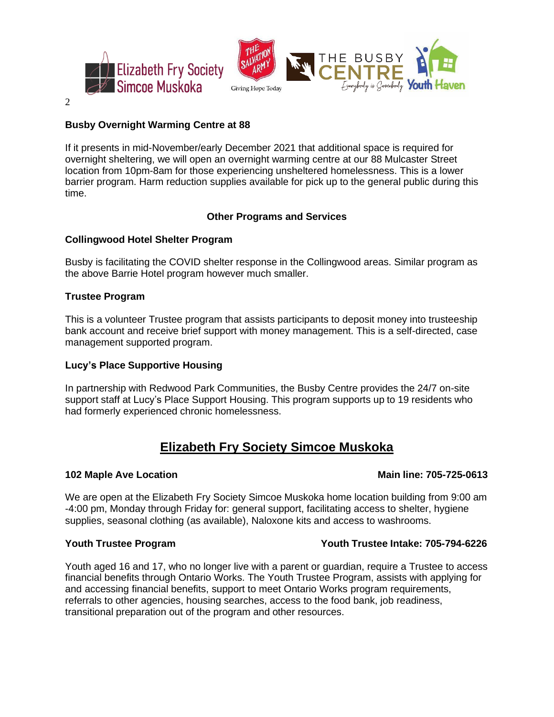

2

## **Busby Overnight Warming Centre at 88**

If it presents in mid-November/early December 2021 that additional space is required for overnight sheltering, we will open an overnight warming centre at our 88 Mulcaster Street location from 10pm-8am for those experiencing unsheltered homelessness. This is a lower barrier program. Harm reduction supplies available for pick up to the general public during this time.

## **Other Programs and Services**

## **Collingwood Hotel Shelter Program**

Busby is facilitating the COVID shelter response in the Collingwood areas. Similar program as the above Barrie Hotel program however much smaller.

## **Trustee Program**

This is a volunteer Trustee program that assists participants to deposit money into trusteeship bank account and receive brief support with money management. This is a self-directed, case management supported program.

## **Lucy's Place Supportive Housing**

In partnership with Redwood Park Communities, the Busby Centre provides the 24/7 on-site support staff at Lucy's Place Support Housing. This program supports up to 19 residents who had formerly experienced chronic homelessness.

## **Elizabeth Fry Society Simcoe Muskoka**

### **102 Maple Ave Location Main line: 705-725-0613**

We are open at the Elizabeth Fry Society Simcoe Muskoka home location building from 9:00 am -4:00 pm, Monday through Friday for: general support, facilitating access to shelter, hygiene supplies, seasonal clothing (as available), Naloxone kits and access to washrooms.

## **Youth Trustee Program Youth Trustee Intake: 705-794-6226**

Youth aged 16 and 17, who no longer live with a parent or guardian, require a Trustee to access financial benefits through Ontario Works. The Youth Trustee Program, assists with applying for and accessing financial benefits, support to meet Ontario Works program requirements, referrals to other agencies, housing searches, access to the food bank, job readiness, transitional preparation out of the program and other resources.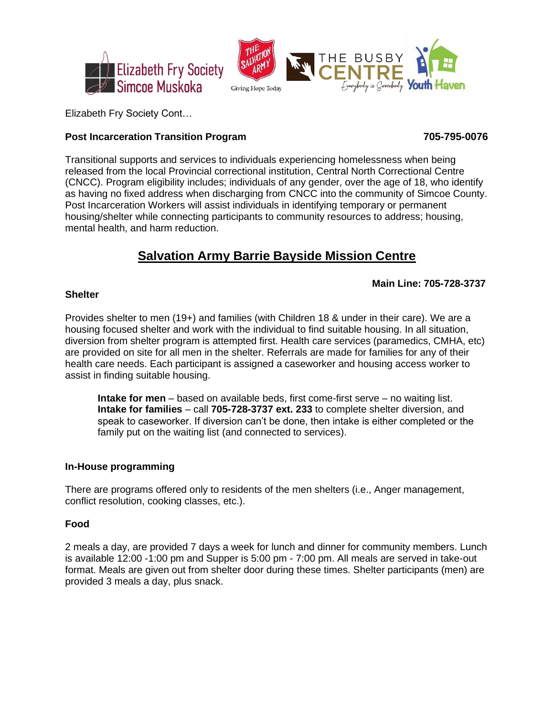

Elizabeth Fry Society Cont…

## **Post Incarceration Transition Program 705-795-0076**

Transitional supports and services to individuals experiencing homelessness when being released from the local Provincial correctional institution, Central North Correctional Centre (CNCC). Program eligibility includes; individuals of any gender, over the age of 18, who identify as having no fixed address when discharging from CNCC into the community of Simcoe County. Post Incarceration Workers will assist individuals in identifying temporary or permanent housing/shelter while connecting participants to community resources to address; housing, mental health, and harm reduction.

# **Salvation Army Barrie Bayside Mission Centre**

## **Main Line: 705-728-3737**

## **Shelter**

Provides shelter to men (19+) and families (with Children 18 & under in their care). We are a housing focused shelter and work with the individual to find suitable housing. In all situation, diversion from shelter program is attempted first. Health care services (paramedics, CMHA, etc) are provided on site for all men in the shelter. Referrals are made for families for any of their health care needs. Each participant is assigned a caseworker and housing access worker to assist in finding suitable housing.

**Intake for men** – based on available beds, first come-first serve – no waiting list. **Intake for families** – call **705-728-3737 ext. 233** to complete shelter diversion, and speak to caseworker. If diversion can't be done, then intake is either completed or the family put on the waiting list (and connected to services).

## **In-House programming**

There are programs offered only to residents of the men shelters (i.e., Anger management, conflict resolution, cooking classes, etc.).

## **Food**

2 meals a day, are provided 7 days a week for lunch and dinner for community members. Lunch is available 12:00 -1:00 pm and Supper is 5:00 pm - 7:00 pm. All meals are served in take-out format. Meals are given out from shelter door during these times. Shelter participants (men) are provided 3 meals a day, plus snack.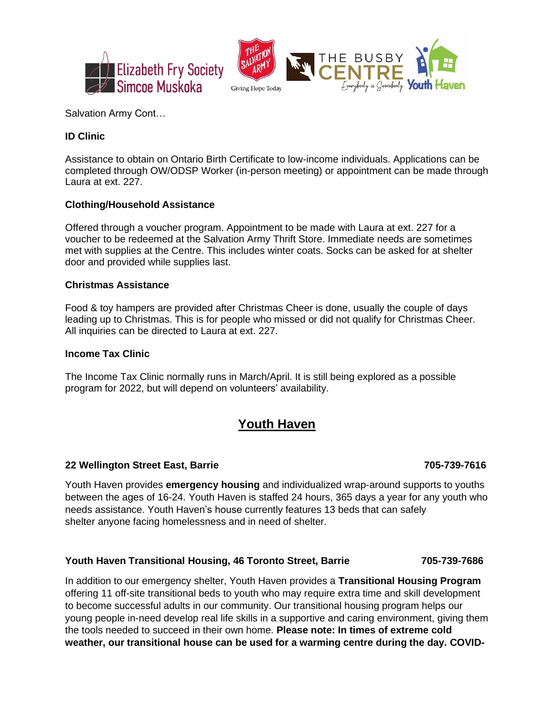

Salvation Army Cont…

## **ID Clinic**

Assistance to obtain on Ontario Birth Certificate to low-income individuals. Applications can be completed through OW/ODSP Worker (in-person meeting) or appointment can be made through Laura at ext. 227.

## **Clothing/Household Assistance**

Offered through a voucher program. Appointment to be made with Laura at ext. 227 for a voucher to be redeemed at the Salvation Army Thrift Store. Immediate needs are sometimes met with supplies at the Centre. This includes winter coats. Socks can be asked for at shelter door and provided while supplies last.

### **Christmas Assistance**

Food & toy hampers are provided after Christmas Cheer is done, usually the couple of days leading up to Christmas. This is for people who missed or did not qualify for Christmas Cheer. All inquiries can be directed to Laura at ext. 227.

## **Income Tax Clinic**

The Income Tax Clinic normally runs in March/April. It is still being explored as a possible program for 2022, but will depend on volunteers' availability.

## **Youth Haven**

## **22 Wellington Street East, Barrie 705-739-7616**

Youth Haven provides **emergency housing** and individualized wrap-around supports to youths between the ages of 16-24. Youth Haven is staffed 24 hours, 365 days a year for any youth who needs assistance. Youth Haven's house currently features 13 beds that can safely shelter anyone facing homelessness and in need of shelter.

### **Youth Haven Transitional Housing, 46 Toronto Street, Barrie 705-739-7686**

In addition to our emergency shelter, Youth Haven provides a **Transitional Housing Program** offering 11 off-site transitional beds to youth who may require extra time and skill development to become successful adults in our community. Our transitional housing program helps our young people in-need develop real life skills in a supportive and caring environment, giving them the tools needed to succeed in their own home. **Please note: In times of extreme cold weather, our transitional house can be used for a warming centre during the day. COVID-**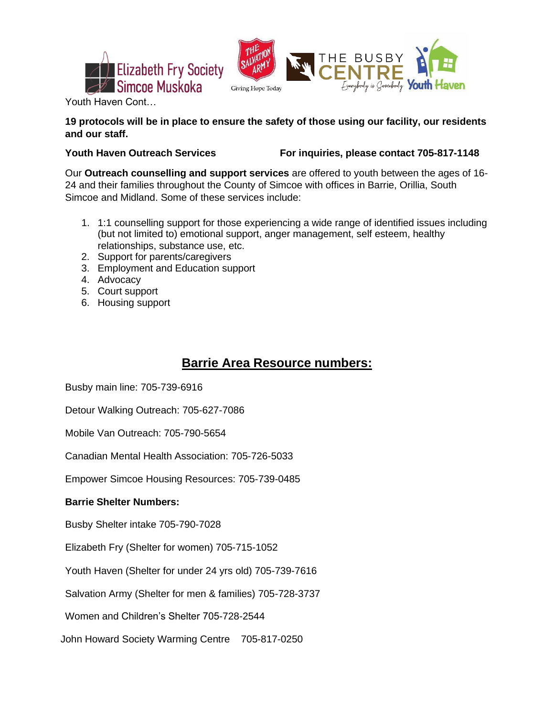



Youth Haven Cont…

## **19 protocols will be in place to ensure the safety of those using our facility, our residents and our staff.**

**Youth Haven Outreach Services For inquiries, please contact 705-817-1148**

Our **Outreach counselling and support services** are offered to youth between the ages of 16- 24 and their families throughout the County of Simcoe with offices in Barrie, Orillia, South Simcoe and Midland. Some of these services include:

- 1. 1:1 counselling support for those experiencing a wide range of identified issues including (but not limited to) emotional support, anger management, self esteem, healthy relationships, substance use, etc.
- 2. Support for parents/caregivers
- 3. Employment and Education support
- 4. Advocacy
- 5. Court support
- 6. Housing support

# **Barrie Area Resource numbers:**

Busby main line: 705-739-6916

Detour Walking Outreach: 705-627-7086

Mobile Van Outreach: 705-790-5654

Canadian Mental Health Association: 705-726-5033

Empower Simcoe Housing Resources: 705-739-0485

## **Barrie Shelter Numbers:**

Busby Shelter intake 705-790-7028

Elizabeth Fry (Shelter for women) 705-715-1052

Youth Haven (Shelter for under 24 yrs old) 705-739-7616

Salvation Army (Shelter for men & families) 705-728-3737

Women and Children's Shelter 705-728-2544

John Howard Society Warming Centre 705-817-0250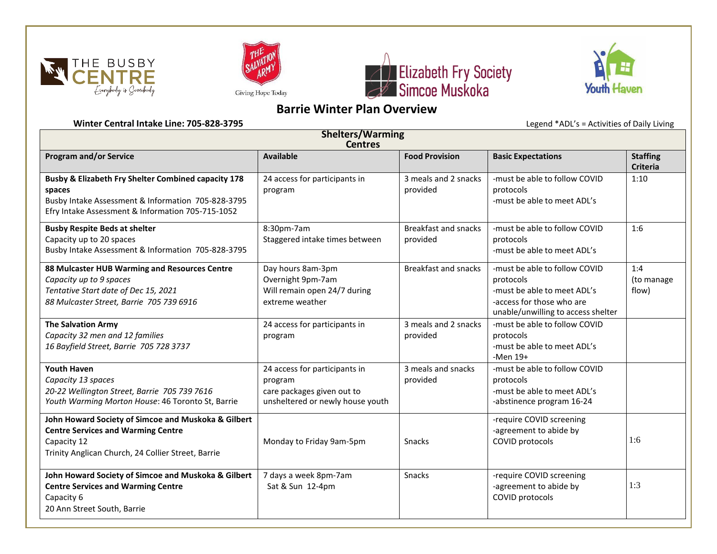







## **Barrie Winter Plan Overview**

**Winter Central Intake Line: 705-828-3795** Legend \*ADL's = Activities of Daily Living

| <b>Shelters/Warming</b><br><b>Centres</b>                                                                                                                                           |                                                                                                            |                                         |                                                                                                                                              |                                    |  |  |  |
|-------------------------------------------------------------------------------------------------------------------------------------------------------------------------------------|------------------------------------------------------------------------------------------------------------|-----------------------------------------|----------------------------------------------------------------------------------------------------------------------------------------------|------------------------------------|--|--|--|
| <b>Program and/or Service</b>                                                                                                                                                       | <b>Available</b>                                                                                           | <b>Food Provision</b>                   | <b>Basic Expectations</b>                                                                                                                    | <b>Staffing</b><br><b>Criteria</b> |  |  |  |
| <b>Busby &amp; Elizabeth Fry Shelter Combined capacity 178</b><br>spaces<br>Busby Intake Assessment & Information 705-828-3795<br>Efry Intake Assessment & Information 705-715-1052 | 24 access for participants in<br>program                                                                   | 3 meals and 2 snacks<br>provided        | -must be able to follow COVID<br>protocols<br>-must be able to meet ADL's                                                                    | 1:10                               |  |  |  |
| <b>Busby Respite Beds at shelter</b><br>Capacity up to 20 spaces<br>Busby Intake Assessment & Information 705-828-3795                                                              | 8:30pm-7am<br>Staggered intake times between                                                               | <b>Breakfast and snacks</b><br>provided | -must be able to follow COVID<br>protocols<br>-must be able to meet ADL's                                                                    | 1:6                                |  |  |  |
| 88 Mulcaster HUB Warming and Resources Centre<br>Capacity up to 9 spaces<br>Tentative Start date of Dec 15, 2021<br>88 Mulcaster Street, Barrie 705 739 6916                        | Day hours 8am-3pm<br>Overnight 9pm-7am<br>Will remain open 24/7 during<br>extreme weather                  | <b>Breakfast and snacks</b>             | -must be able to follow COVID<br>protocols<br>-must be able to meet ADL's<br>-access for those who are<br>unable/unwilling to access shelter | 1:4<br>(to manage<br>flow)         |  |  |  |
| <b>The Salvation Army</b><br>Capacity 32 men and 12 families<br>16 Bayfield Street, Barrie 705 728 3737                                                                             | 24 access for participants in<br>program                                                                   | 3 meals and 2 snacks<br>provided        | -must be able to follow COVID<br>protocols<br>-must be able to meet ADL's<br>$-Men 19+$                                                      |                                    |  |  |  |
| <b>Youth Haven</b><br>Capacity 13 spaces<br>20-22 Wellington Street, Barrie 705 739 7616<br>Youth Warming Morton House: 46 Toronto St, Barrie                                       | 24 access for participants in<br>program<br>care packages given out to<br>unsheltered or newly house youth | 3 meals and snacks<br>provided          | -must be able to follow COVID<br>protocols<br>-must be able to meet ADL's<br>-abstinence program 16-24                                       |                                    |  |  |  |
| John Howard Society of Simcoe and Muskoka & Gilbert<br><b>Centre Services and Warming Centre</b><br>Capacity 12<br>Trinity Anglican Church, 24 Collier Street, Barrie               | Monday to Friday 9am-5pm                                                                                   | <b>Snacks</b>                           | -require COVID screening<br>-agreement to abide by<br>COVID protocols                                                                        | 1:6                                |  |  |  |
| John Howard Society of Simcoe and Muskoka & Gilbert<br><b>Centre Services and Warming Centre</b><br>Capacity 6<br>20 Ann Street South, Barrie                                       | 7 days a week 8pm-7am<br>Sat & Sun 12-4pm                                                                  | Snacks                                  | -require COVID screening<br>-agreement to abide by<br>COVID protocols                                                                        | 1:3                                |  |  |  |